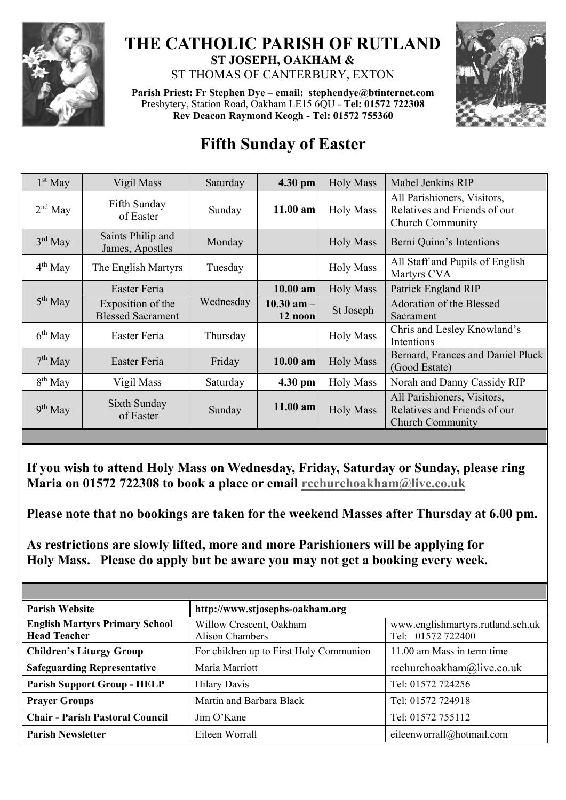

# **THE CATHOLIC PARISH OF RUTLAND ST JOSEPH, OAKHAM &**

ST THOMAS OF CANTERBURY, EXTON

**Parish Priest: Fr Stephen Dye** – **[email: stephendye@btinternet.com](mailto:email:%20%20stephendye@btinternet.com)** Presbytery, Station Road, Oakham LE15 6QU - **Tel: 01572 722308 Rev Deacon Raymond Keogh - Tel: 01572 755360**



## **Fifth Sunday of Easter**

| $1st$ May    | Vigil Mass                                    | Saturday  | 4.30 pm                   | <b>Holy Mass</b> | Mabel Jenkins RIP                                                                      |
|--------------|-----------------------------------------------|-----------|---------------------------|------------------|----------------------------------------------------------------------------------------|
| $2nd$ May    | Fifth Sunday<br>of Easter                     | Sunday    | 11.00 am                  | <b>Holy Mass</b> | All Parishioners, Visitors,<br>Relatives and Friends of our<br><b>Church Community</b> |
| $3rd$ May    | Saints Philip and<br>James, Apostles          | Monday    |                           | <b>Holy Mass</b> | Berni Quinn's Intentions                                                               |
| $4^{th}$ May | The English Martyrs                           | Tuesday   |                           | <b>Holy Mass</b> | All Staff and Pupils of English<br>Martyrs CVA                                         |
| $5th$ May    | Easter Feria                                  |           | $10.00$ am                | <b>Holy Mass</b> | Patrick England RIP                                                                    |
|              | Exposition of the<br><b>Blessed Sacrament</b> | Wednesday | $10.30$ am $-$<br>12 noon | St Joseph        | Adoration of the Blessed<br>Sacrament                                                  |
| $6th$ May    | Easter Feria                                  | Thursday  |                           | <b>Holy Mass</b> | Chris and Lesley Knowland's<br>Intentions                                              |
| $7th$ May    | Easter Feria                                  | Friday    | 10.00 am                  | <b>Holy Mass</b> | Bernard, Frances and Daniel Pluck<br>(Good Estate)                                     |
| $8th$ May    | Vigil Mass                                    | Saturday  | 4.30 pm                   | <b>Holy Mass</b> | Norah and Danny Cassidy RIP                                                            |
| $9th$ May    | Sixth Sunday<br>of Easter                     | Sunday    | $11.00$ am                | <b>Holy Mass</b> | All Parishioners, Visitors,<br>Relatives and Friends of our<br><b>Church Community</b> |
|              |                                               |           |                           |                  |                                                                                        |

**If you wish to attend Holy Mass on Wednesday, Friday, Saturday or Sunday, please ring Maria on 01572 722308 to book a place or email [rcchurchoakham@live.co.uk](mailto:rcchurchoakham@live.co.uk)**

**Please note that no bookings are taken for the weekend Masses after Thursday at 6.00 pm.**

**As restrictions are slowly lifted, more and more Parishioners will be applying for Holy Mass. Please do apply but be aware you may not get a booking every week.**

| <b>Parish Website</b>                                        | http://www.stjosephs-oakham.org                   |                                                        |  |  |
|--------------------------------------------------------------|---------------------------------------------------|--------------------------------------------------------|--|--|
| <b>English Martyrs Primary School</b><br><b>Head Teacher</b> | Willow Crescent, Oakham<br><b>Alison Chambers</b> | www.englishmartyrs.rutland.sch.uk<br>Tel: 01572 722400 |  |  |
| <b>Children's Liturgy Group</b>                              | For children up to First Holy Communion           | 11.00 am Mass in term time                             |  |  |
| <b>Safeguarding Representative</b>                           | Maria Marriott                                    | rcchurchoakham@live.co.uk                              |  |  |
| <b>Parish Support Group - HELP</b>                           | <b>Hilary Davis</b>                               | Tel: 01572 724256                                      |  |  |
| <b>Prayer Groups</b>                                         | Martin and Barbara Black                          | Tel: 01572 724918                                      |  |  |
| <b>Chair - Parish Pastoral Council</b>                       | Jim O'Kane                                        | Tel: 01572 755112                                      |  |  |
| <b>Parish Newsletter</b>                                     | Eileen Worrall                                    | eileenworrall@hotmail.com                              |  |  |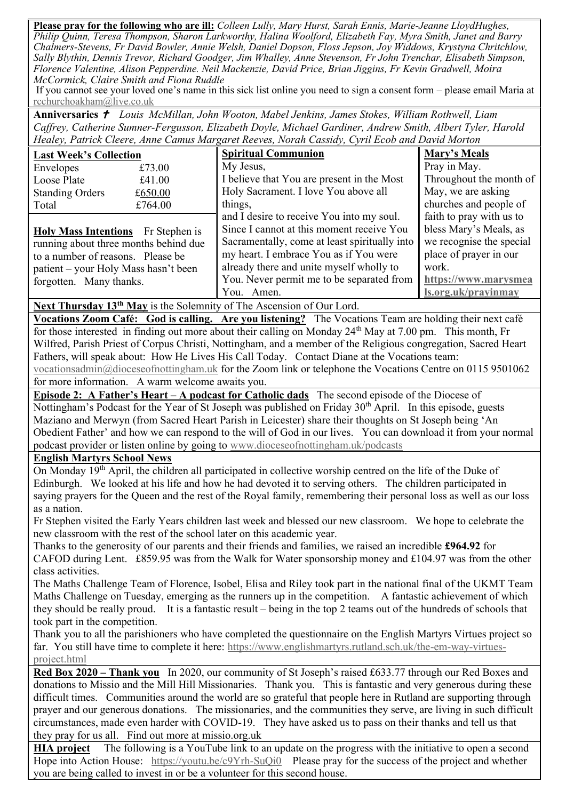**Please pray for the following who are ill:** *Colleen Lully, Mary Hurst, Sarah Ennis, Marie-Jeanne LloydHughes, Philip Quinn, Teresa Thompson, Sharon Larkworthy, Halina Woolford, Elizabeth Fay, Myra Smith, Janet and Barry Chalmers-Stevens, Fr David Bowler, Annie Welsh, Daniel Dopson, Floss Jepson, Joy Widdows, Krystyna Chritchlow, Sally Blythin, Dennis Trevor, Richard Goodger, Jim Whalley, Anne Stevenson, Fr John Trenchar, Elisabeth Simpson, Florence Valentine, Alison Pepperdine. Neil Mackenzie, David Price, Brian Jiggins, Fr Kevin Gradwell, Moira McCormick, Claire Smith and Fiona Ruddle*

If you cannot see your loved one's name in this sick list online you need to sign a consent form – please email Maria at [rcchurchoakham@live.co.uk](mailto:rcchurchoakham@live.co.uk)

**Anniversaries**  *Louis McMillan, John Wooton, Mabel Jenkins, James Stokes, William Rothwell, Liam Caffrey, Catherine Sumner-Fergusson, Elizabeth Doyle, Michael Gardiner, Andrew Smith, Albert Tyler, Harold Healey, Patrick Cleere, Anne Camus Margaret Reeves, Norah Cassidy, Cyril Ecob and David Morton*

| <b>Last Week's Collection</b>             |         | <b>Spiritual Communion</b>                    | Mary's Meals             |
|-------------------------------------------|---------|-----------------------------------------------|--------------------------|
| Envelopes                                 | £73.00  | My Jesus,                                     | Pray in May.             |
| Loose Plate                               | £41.00  | I believe that You are present in the Most    | Throughout the month of  |
| <b>Standing Orders</b>                    | £650.00 | Holy Sacrament. I love You above all          | May, we are asking       |
| Total                                     | £764.00 | things,                                       | churches and people of   |
|                                           |         | and I desire to receive You into my soul.     | faith to pray with us to |
| <b>Holy Mass Intentions</b> Fr Stephen is |         | Since I cannot at this moment receive You     | bless Mary's Meals, as   |
| running about three months behind due     |         | Sacramentally, come at least spiritually into | we recognise the special |
| to a number of reasons. Please be         |         | my heart. I embrace You as if You were        | place of prayer in our   |
| patient – your Holy Mass hasn't been      |         | already there and unite myself wholly to      | work.                    |
| forgotten. Many thanks.                   |         | You. Never permit me to be separated from     | https://www.marysmea     |
|                                           |         | You. Amen.                                    | ls.org.uk/prayinmay      |

**Next Thursday 13th May** is the Solemnity of The Ascension of Our Lord.

**Vocations Zoom Café: God is calling. Are you listening?** The Vocations Team are holding their next café for those interested in finding out more about their calling on Monday 24<sup>th</sup> May at 7.00 pm. This month, Fr Wilfred, Parish Priest of Corpus Christi, Nottingham, and a member of the Religious congregation, Sacred Heart Fathers, will speak about: How He Lives His Call Today. Contact Diane at the Vocations team: [vocationsadmin@dioceseofnottingham.uk](mailto:vocationsadmin@dioceseofnottingham.uk) for the Zoom link or telephone the Vocations Centre on 0115 9501062 for more information. A warm welcome awaits you.

**Episode 2: A Father's Heart – A podcast for Catholic dads** The second episode of the Diocese of Nottingham's Podcast for the Year of St Joseph was published on Friday 30<sup>th</sup> April. In this episode, guests Maziano and Merwyn (from Sacred Heart Parish in Leicester) share their thoughts on St Joseph being 'An Obedient Father' and how we can respond to the will of God in our lives. You can download it from your normal podcast provider or listen online by going to [www.dioceseofnottingham.uk/podcasts](http://www.dioceseofnottingham.uk/podcasts)

#### **English Martyrs School News**

On Monday 19<sup>th</sup> April, the children all participated in collective worship centred on the life of the Duke of Edinburgh. We looked at his life and how he had devoted it to serving others. The children participated in saying prayers for the Queen and the rest of the Royal family, remembering their personal loss as well as our loss as a nation.

Fr Stephen visited the Early Years children last week and blessed our new classroom. We hope to celebrate the new classroom with the rest of the school later on this academic year.

Thanks to the generosity of our parents and their friends and families, we raised an incredible **£964.92** for CAFOD during Lent. £859.95 was from the Walk for Water sponsorship money and £104.97 was from the other class activities.

The Maths Challenge Team of Florence, Isobel, Elisa and Riley took part in the national final of the UKMT Team Maths Challenge on Tuesday, emerging as the runners up in the competition. A fantastic achievement of which they should be really proud. It is a fantastic result – being in the top 2 teams out of the hundreds of schools that took part in the competition.

Thank you to all the parishioners who have completed the questionnaire on the English Martyrs Virtues project so far. You still have time to complete it here: [https://www.englishmartyrs.rutland.sch.uk/the-em-way-virtues](https://www.englishmartyrs.rutland.sch.uk/the-em-way-virtues-project.html)[project.html](https://www.englishmartyrs.rutland.sch.uk/the-em-way-virtues-project.html)

**Red Box 2020 – Thank you** In 2020, our community of St Joseph's raised £633.77 through our Red Boxes and donations to Missio and the Mill Hill Missionaries. Thank you. This is fantastic and very generous during these difficult times. Communities around the world are so grateful that people here in Rutland are supporting through prayer and our generous donations. The missionaries, and the communities they serve, are living in such difficult circumstances, made even harder with COVID-19. They have asked us to pass on their thanks and tell us that they pray for us all. Find out more at missio.org.uk

**HIA project** The following is a YouTube link to an update on the progress with the initiative to open a second Hope into Action House: <https://youtu.be/c9Yrh-SuQi0> Please pray for the success of the project and whether you are being called to invest in or be a volunteer for this second house.